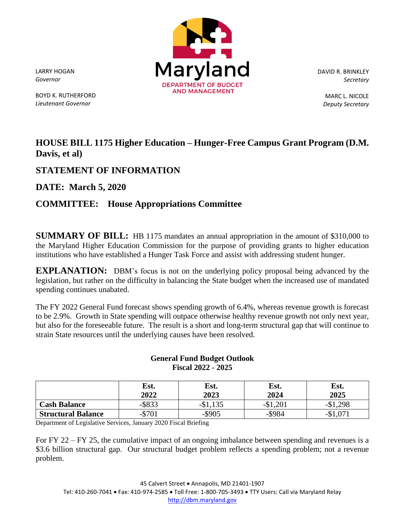LARRY HOGAN *Governor*

BOYD K. RUTHERFORD *Lieutenant Governor*



DAVID R. BRINKLEY *Secretary*

> MARC L. NICOLE *Deputy Secretary*

## **HOUSE BILL 1175 Higher Education – Hunger-Free Campus Grant Program (D.M. Davis, et al)**

## **STATEMENT OF INFORMATION**

**DATE: March 5, 2020**

## **COMMITTEE: House Appropriations Committee**

**SUMMARY OF BILL:** HB 1175 mandates an annual appropriation in the amount of \$310,000 to the Maryland Higher Education Commission for the purpose of providing grants to higher education institutions who have established a Hunger Task Force and assist with addressing student hunger.

**EXPLANATION:** DBM's focus is not on the underlying policy proposal being advanced by the legislation, but rather on the difficulty in balancing the State budget when the increased use of mandated spending continues unabated.

The FY 2022 General Fund forecast shows spending growth of 6.4%, whereas revenue growth is forecast to be 2.9%. Growth in State spending will outpace otherwise healthy revenue growth not only next year, but also for the foreseeable future. The result is a short and long-term structural gap that will continue to strain State resources until the underlying causes have been resolved.

|                           | Est.<br>2022 | Est.<br>2023 | Est.<br>2024 | Est.<br>2025 |
|---------------------------|--------------|--------------|--------------|--------------|
| <b>Cash Balance</b>       | $-$ \$833    | $-D1$        | $-\$1,201$   | .298         |
| <b>Structural Balance</b> | -w           |              | $-$ \$984    |              |

## **General Fund Budget Outlook Fiscal 2022 - 2025**

Department of Legislative Services, January 2020 Fiscal Briefing

For FY 22 – FY 25, the cumulative impact of an ongoing imbalance between spending and revenues is a \$3.6 billion structural gap. Our structural budget problem reflects a spending problem; not a revenue problem.